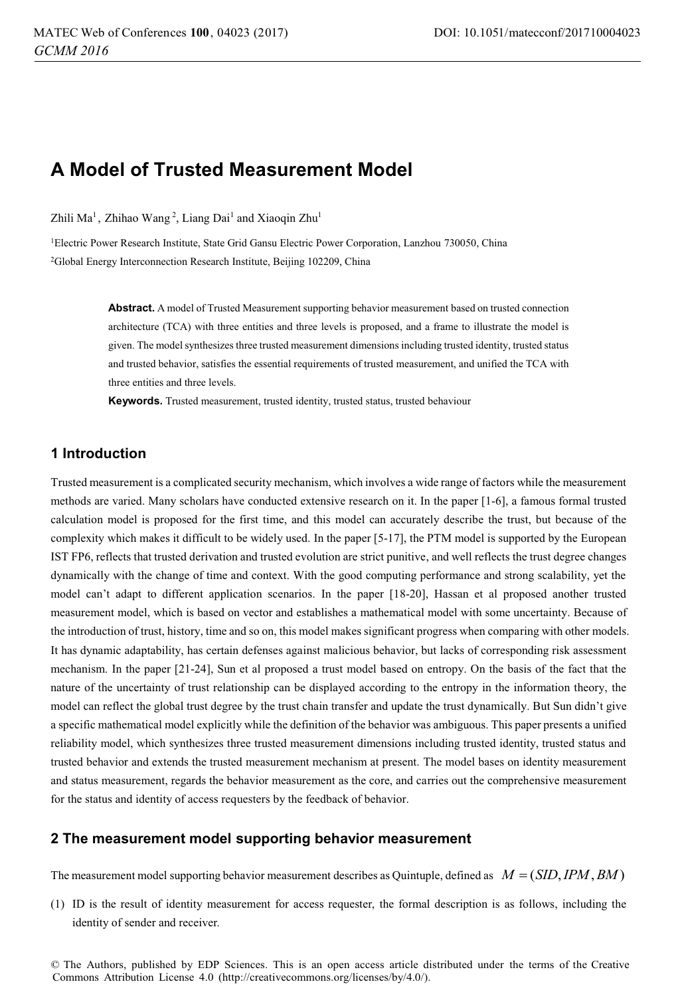# **A Model of Trusted Measurement Model**

Zhili Ma<sup>1</sup>, Zhihao Wang<sup>2</sup>, Liang Dai<sup>1</sup> and Xiaoqin Zhu<sup>1</sup>

1Electric Power Research Institute, State Grid Gansu Electric Power Corporation, Lanzhou 730050, China 2Global Energy Interconnection Research Institute, Beijing 102209, China

> **Abstract.** A model of Trusted Measurement supporting behavior measurement based on trusted connection architecture (TCA) with three entities and three levels is proposed, and a frame to illustrate the model is given. The model synthesizes three trusted measurement dimensions including trusted identity, trusted status and trusted behavior, satisfies the essential requirements of trusted measurement, and unified the TCA with three entities and three levels.

**Keywords.** Trusted measurement, trusted identity, trusted status, trusted behaviour

# **1 Introduction**

Trusted measurement is a complicated security mechanism, which involves a wide range of factors while the measurement methods are varied. Many scholars have conducted extensive research on it. In the paper [1-6], a famous formal trusted calculation model is proposed for the first time, and this model can accurately describe the trust, but because of the complexity which makes it difficult to be widely used. In the paper [5-17], the PTM model is supported by the European IST FP6, reflects that trusted derivation and trusted evolution are strict punitive, and well reflects the trust degree changes dynamically with the change of time and context. With the good computing performance and strong scalability, yet the model can't adapt to different application scenarios. In the paper [18-20], Hassan et al proposed another trusted measurement model, which is based on vector and establishes a mathematical model with some uncertainty. Because of the introduction of trust, history, time and so on, this model makes significant progress when comparing with other models. It has dynamic adaptability, has certain defenses against malicious behavior, but lacks of corresponding risk assessment mechanism. In the paper [21-24], Sun et al proposed a trust model based on entropy. On the basis of the fact that the nature of the uncertainty of trust relationship can be displayed according to the entropy in the information theory, the model can reflect the global trust degree by the trust chain transfer and update the trust dynamically. But Sun didn't give a specific mathematical model explicitly while the definition of the behavior was ambiguous. This paper presents a unified reliability model, which synthesizes three trusted measurement dimensions including trusted identity, trusted status and trusted behavior and extends the trusted measurement mechanism at present. The model bases on identity measurement and status measurement, regards the behavior measurement as the core, and carries out the comprehensive measurement for the status and identity of access requesters by the feedback of behavior.

# **2 The measurement model supporting behavior measurement**

The measurement model supporting behavior measurement describes as Quintuple, defined as  $M = (SID, IPM, BM)$ 

(1) ID is the result of identity measurement for access requester, the formal description is as follows, including the identity of sender and receiver.

© The Authors, published by EDP Sciences. This is an open access article distributed under the terms of the Creative Commons Attribution License 4.0 (http://creativecommons.org/licenses/by/4.0/).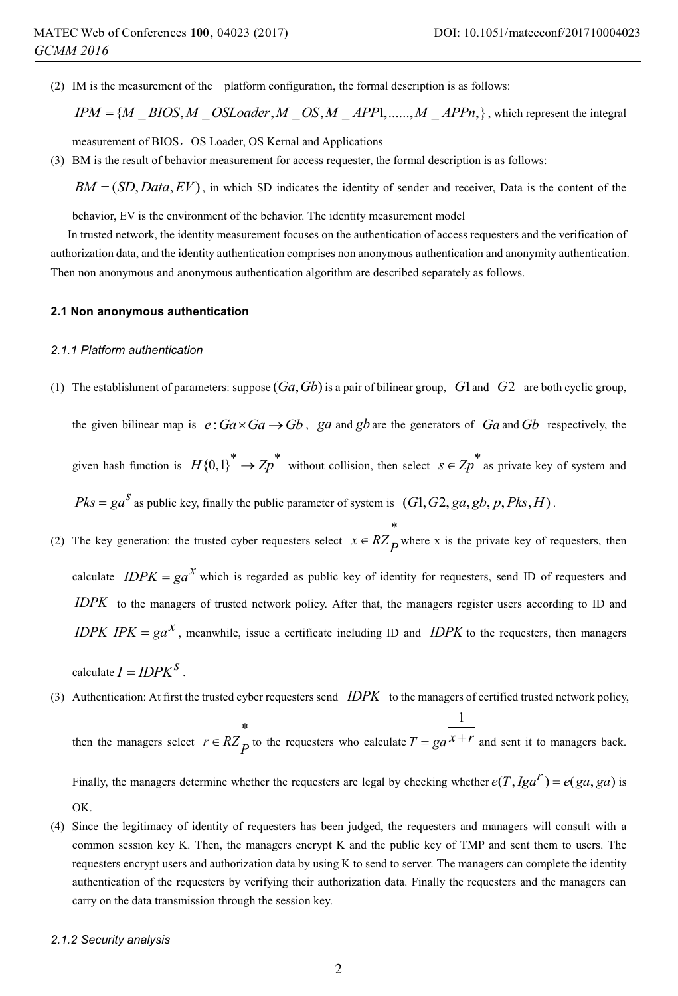(2) IM is the measurement of the platform configuration, the formal description is as follows:

 $IPM = \{ M \subseteq BIOS, M \subseteq OS \subseteq Dader, M \subseteq OS, M \subseteq APP1, \dots, M \subseteq APPn, \}$ , which represent the integral

measurement of BIOS, OS Loader, OS Kernal and Applications

(3) BM is the result of behavior measurement for access requester, the formal description is as follows:

 $BM = (SD, Data, EV)$ , in which SD indicates the identity of sender and receiver, Data is the content of the

behavior, EV is the environment of the behavior. The identity measurement model

In trusted network, the identity measurement focuses on the authentication of access requesters and the verification of authorization data, and the identity authentication comprises non anonymous authentication and anonymity authentication. Then non anonymous and anonymous authentication algorithm are described separately as follows.

#### **2.1 Non anonymous authentication**

# *2.1.1 Platform authentication*

(1) The establishment of parameters: suppose  $(Ga, Gb)$  is a pair of bilinear group,  $G1$  and  $G2$  are both cyclic group,

the given bilinear map is  $e: Ga \times Ga \rightarrow Gb$ , ga and gb are the generators of Ga and Gb respectively, the given hash function is  $H\{0,1\}^* \to Zp^*$  without collision, then select  $s \in Zp^*$  as private key of system and  $Pks = ga^S$  as public key, finally the public parameter of system is  $(G1, G2, ga, gb, p, Pks, H)$ .

(2) The key generation: the trusted cyber requesters select  $x \in RZ_p$  where x is the private key of requesters, then calculate  $IDPK = ga^{\mathcal{X}}$  which is regarded as public key of identity for requesters, send ID of requesters and *IDPK* to the managers of trusted network policy. After that, the managers register users according to ID and *IDPK IPK* =  $ga^x$ , meanwhile, issue a certificate including ID and *IDPK* to the requesters, then managers

```
calculate I = IDPK<sup>S</sup>.
```
(3) Authentication: At first the trusted cyber requesters send *IDPK* to the managers of certified trusted network policy,

then the managers select  $r \in RZ_p$  to the requesters who calculate 1  $T = ga^{\overline{X} + \overline{Y}}$  and sent it to managers back. Finally, the managers determine whether the requesters are legal by checking whether  $e(T, Iga^T) = e(ga, ga)$  is

- OK.
- (4) Since the legitimacy of identity of requesters has been judged, the requesters and managers will consult with a common session key K. Then, the managers encrypt K and the public key of TMP and sent them to users. The requesters encrypt users and authorization data by using K to send to server. The managers can complete the identity authentication of the requesters by verifying their authorization data. Finally the requesters and the managers can carry on the data transmission through the session key.

### *2.1.2 Security analysis*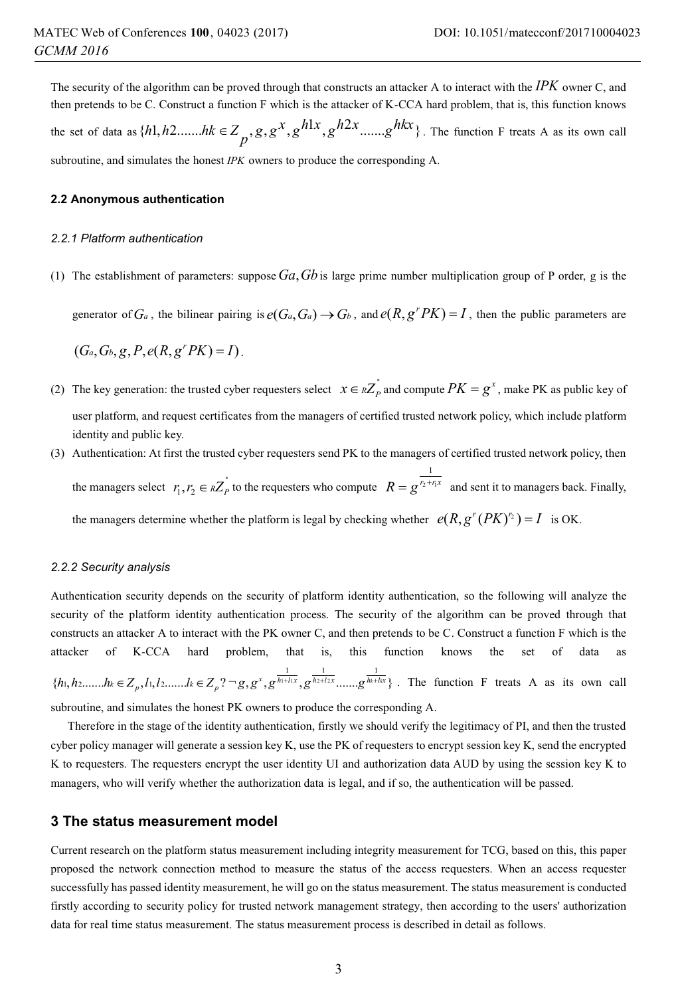The security of the algorithm can be proved through that constructs an attacker A to interact with the *IPK* owner C, and then pretends to be C. Construct a function F which is the attacker of K-CCA hard problem, that is, this function knows the set of data as  $\{h1, h2, \ldots, hk \in Z_p, g, g^X, g^{h1x}, g^{h2x}, \ldots, g^{hkx}\}$ . The function F treats A as its own call subroutine, and simulates the honest *IPK* owners to produce the corresponding A.

#### **2.2 Anonymous authentication**

#### *2.2.1 Platform authentication*

(1) The establishment of parameters: suppose  $Ga, Gb$  is large prime number multiplication group of P order, g is the

generator of  $G_a$ , the bilinear pairing is  $e(G_a, G_a) \to G_b$ , and  $e(R, g^r P K) = I$ , then the public parameters are

 $(G_a, G_b, g, P, e(R, g^r PK) = I).$ 

- (2) The key generation: the trusted cyber requesters select  $x \in RZ_p^*$  and compute  $PK = g^x$ , make PK as public key of user platform, and request certificates from the managers of certified trusted network policy, which include platform identity and public key.
- (3) Authentication: At first the trusted cyber requesters send PK to the managers of certified trusted network policy, then the managers select  $r_1, r_2 \in \kappa Z_P^*$  to the requesters who compute  $R = g^{\frac{1}{r_2 + r_1 x}}$  and sent it to managers back. Finally, the managers determine whether the platform is legal by checking whether  $e(R, g^{r} (PK)^{r_2}) = I$  is OK.

#### *2.2.2 Security analysis*

Authentication security depends on the security of platform identity authentication, so the following will analyze the security of the platform identity authentication process. The security of the algorithm can be proved through that constructs an attacker A to interact with the PK owner C, and then pretends to be C. Construct a function F which is the attacker of K-CCA hard problem, that is, this function knows the set of data as  $\{h_1, h_2, \ldots, h_k \in Z_p, l_1, l_2, \ldots, l_k \in Z_p\}$   $\supseteq$   $g, g^x, g^{\frac{1}{h_1 + l_1 x}}, g^{\frac{1}{h_2 + l_2 x}}$   $\ldots, g^{\frac{1}{h_k + k_x}}\}$ . The function F treats A as its own call subroutine, and simulates the honest PK owners to produce the corresponding A.

Therefore in the stage of the identity authentication, firstly we should verify the legitimacy of PI, and then the trusted cyber policy manager will generate a session key K, use the PK of requesters to encrypt session key K, send the encrypted K to requesters. The requesters encrypt the user identity UI and authorization data AUD by using the session key K to managers, who will verify whether the authorization data is legal, and if so, the authentication will be passed.

## **3 The status measurement model**

Current research on the platform status measurement including integrity measurement for TCG, based on this, this paper proposed the network connection method to measure the status of the access requesters. When an access requester successfully has passed identity measurement, he will go on the status measurement. The status measurement is conducted firstly according to security policy for trusted network management strategy, then according to the users' authorization data for real time status measurement. The status measurement process is described in detail as follows.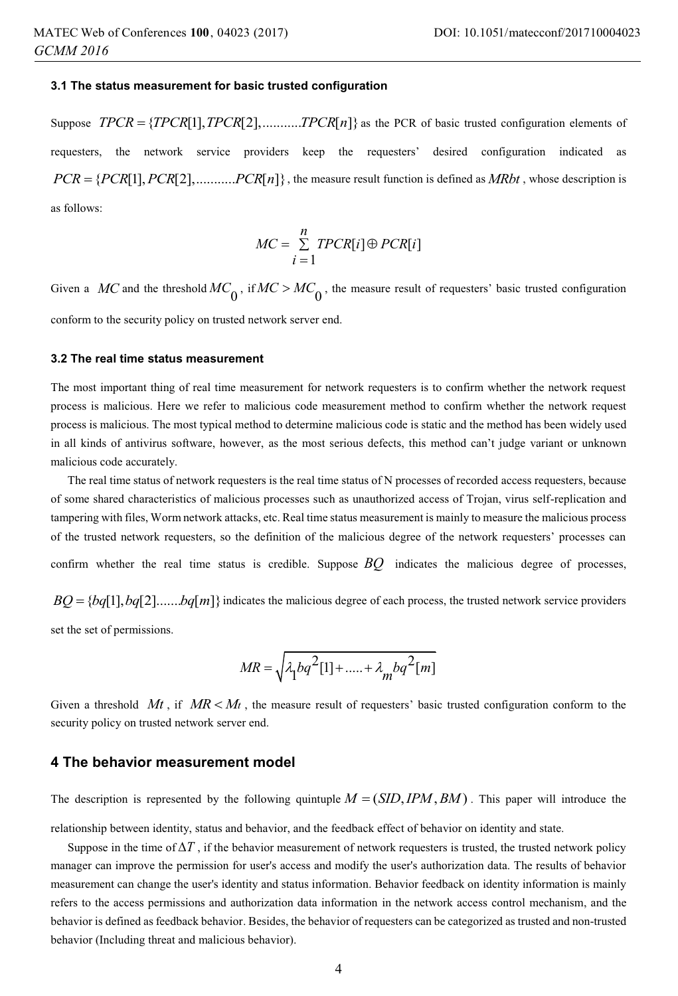#### **3.1 The status measurement for basic trusted configuration**

Suppose  $TPCR = \{TPCR[1], TPCR[2], \dots, TPCR[n]\}$  as the PCR of basic trusted configuration elements of requesters, the network service providers keep the requesters' desired configuration indicated as  $PCR = \{PCR[1], PCR[2], \dots, PCR[n]\},$  the measure result function is defined as *MRbt*, whose description is as follows:

$$
MC = \sum_{i=1}^{n} TPCR[i] \oplus PCR[i]
$$

Given a *MC* and the threshold  $MC_0$ , if  $MC > MC_0$ , the measure result of requesters' basic trusted configuration conform to the security policy on trusted network server end.

#### **3.2 The real time status measurement**

The most important thing of real time measurement for network requesters is to confirm whether the network request process is malicious. Here we refer to malicious code measurement method to confirm whether the network request process is malicious. The most typical method to determine malicious code is static and the method has been widely used in all kinds of antivirus software, however, as the most serious defects, this method can't judge variant or unknown malicious code accurately.

The real time status of network requesters is the real time status of N processes of recorded access requesters, because of some shared characteristics of malicious processes such as unauthorized access of Trojan, virus self-replication and tampering with files, Worm network attacks, etc. Real time status measurement is mainly to measure the malicious process of the trusted network requesters, so the definition of the malicious degree of the network requesters' processes can confirm whether the real time status is credible. Suppose *BQ* indicates the malicious degree of processes,

 $BQ = \{bq[1], bq[2], \dots, bq[m]\}\$ indicates the malicious degree of each process, the trusted network service providers set the set of permissions.

$$
MR = \sqrt{\lambda_1 bq^2[1] + \dots + \lambda_m bq^2[m]}
$$

Given a threshold  $Mt$ , if  $MR < Mt$ , the measure result of requesters' basic trusted configuration conform to the security policy on trusted network server end.

### **4 The behavior measurement model**

The description is represented by the following quintuple  $M = (SID, IPM, BM)$ . This paper will introduce the relationship between identity, status and behavior, and the feedback effect of behavior on identity and state.

Suppose in the time of  $\Delta T$ , if the behavior measurement of network requesters is trusted, the trusted network policy manager can improve the permission for user's access and modify the user's authorization data. The results of behavior measurement can change the user's identity and status information. Behavior feedback on identity information is mainly refers to the access permissions and authorization data information in the network access control mechanism, and the behavior is defined as feedback behavior. Besides, the behavior of requesters can be categorized as trusted and non-trusted behavior (Including threat and malicious behavior).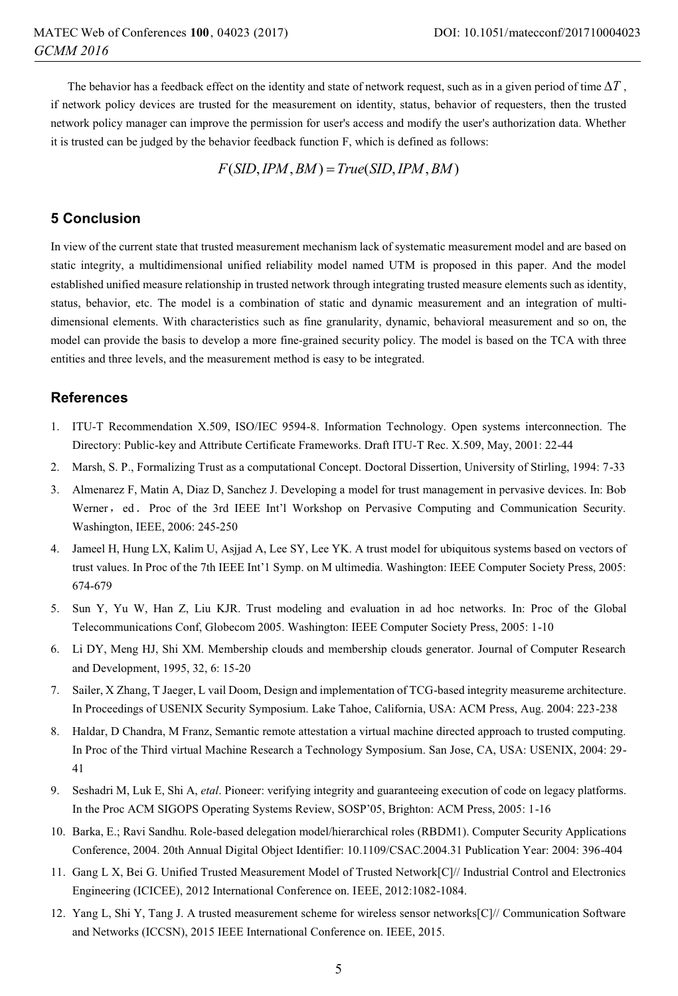The behavior has a feedback effect on the identity and state of network request, such as in a given period of time  $\Delta T$ , if network policy devices are trusted for the measurement on identity, status, behavior of requesters, then the trusted network policy manager can improve the permission for user's access and modify the user's authorization data. Whether it is trusted can be judged by the behavior feedback function F, which is defined as follows:

 $F(SID,IPM, BM) = True(SID,IPM, BM)$ 

# **5 Conclusion**

In view of the current state that trusted measurement mechanism lack of systematic measurement model and are based on static integrity, a multidimensional unified reliability model named UTM is proposed in this paper. And the model established unified measure relationship in trusted network through integrating trusted measure elements such as identity, status, behavior, etc. The model is a combination of static and dynamic measurement and an integration of multidimensional elements. With characteristics such as fine granularity, dynamic, behavioral measurement and so on, the model can provide the basis to develop a more fine-grained security policy. The model is based on the TCA with three entities and three levels, and the measurement method is easy to be integrated.

# **References**

- 1. ITU-T Recommendation X.509, ISO/IEC 9594-8. Information Technology. Open systems interconnection. The Directory: Public-key and Attribute Certificate Frameworks. Draft ITU-T Rec. X.509, May, 2001: 22-44
- 2. Marsh, S. P., Formalizing Trust as a computational Concept. Doctoral Dissertion, University of Stirling, 1994: 7-33
- 3. Almenarez F, Matin A, Diaz D, Sanchez J. Developing a model for trust management in pervasive devices. In: Bob Werner, ed. Proc of the 3rd IEEE Int'l Workshop on Pervasive Computing and Communication Security. Washington, IEEE, 2006: 245-250
- 4. Jameel H, Hung LX, Kalim U, Asjjad A, Lee SY, Lee YK. A trust model for ubiquitous systems based on vectors of trust values. In Proc of the 7th IEEE Int'1 Symp. on M ultimedia. Washington: IEEE Computer Society Press, 2005: 674-679
- 5. Sun Y, Yu W, Han Z, Liu KJR. Trust modeling and evaluation in ad hoc networks. In: Proc of the Global Telecommunications Conf, Globecom 2005. Washington: IEEE Computer Society Press, 2005: 1-10
- 6. Li DY, Meng HJ, Shi XM. Membership clouds and membership clouds generator. Journal of Computer Research and Development, 1995, 32, 6: 15-20
- 7. Sailer, X Zhang, T Jaeger, L vail Doom, Design and implementation of TCG-based integrity measureme architecture. In Proceedings of USENIX Security Symposium. Lake Tahoe, California, USA: ACM Press, Aug. 2004: 223-238
- 8. Haldar, D Chandra, M Franz, Semantic remote attestation a virtual machine directed approach to trusted computing. In Proc of the Third virtual Machine Research a Technology Symposium. San Jose, CA, USA: USENIX, 2004: 29- 41
- 9. Seshadri M, Luk E, Shi A, *etal*. Pioneer: verifying integrity and guaranteeing execution of code on legacy platforms. In the Proc ACM SIGOPS Operating Systems Review, SOSP'05, Brighton: ACM Press, 2005: 1-16
- 10. Barka, E.; Ravi Sandhu. Role-based delegation model/hierarchical roles (RBDM1). Computer Security Applications Conference, 2004. 20th Annual Digital Object Identifier: 10.1109/CSAC.2004.31 Publication Year: 2004: 396-404
- 11. Gang L X, Bei G. Unified Trusted Measurement Model of Trusted Network[C]// Industrial Control and Electronics Engineering (ICICEE), 2012 International Conference on. IEEE, 2012:1082-1084.
- 12. Yang L, Shi Y, Tang J. A trusted measurement scheme for wireless sensor networks[C]// Communication Software and Networks (ICCSN), 2015 IEEE International Conference on. IEEE, 2015.